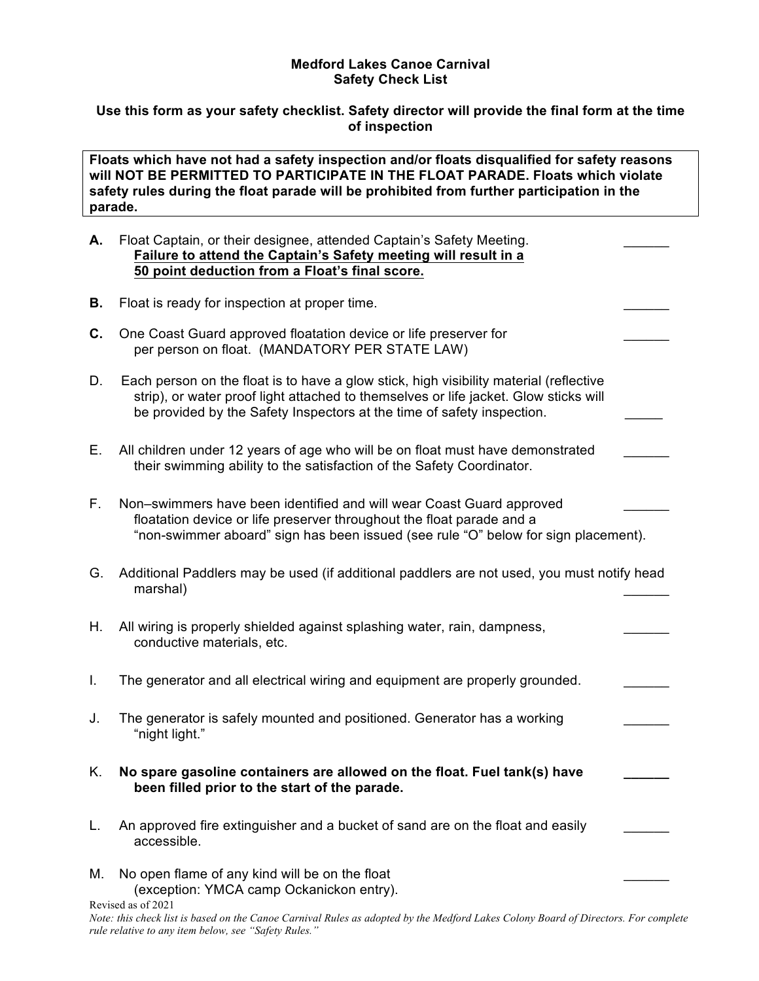## **Medford Lakes Canoe Carnival Safety Check List**

## **Use this form as your safety checklist. Safety director will provide the final form at the time of inspection**

**Floats which have not had a safety inspection and/or floats disqualified for safety reasons will NOT BE PERMITTED TO PARTICIPATE IN THE FLOAT PARADE. Floats which violate safety rules during the float parade will be prohibited from further participation in the parade.** 

## **A.** Float Captain, or their designee, attended Captain's Safety Meeting. \_\_\_\_\_\_ **Failure to attend the Captain's Safety meeting will result in a 50 point deduction from a Float's final score.**

- **B.** Float is ready for inspection at proper time.
- **C.** One Coast Guard approved floatation device or life preserver for per person on float. (MANDATORY PER STATE LAW)
- D. Each person on the float is to have a glow stick, high visibility material (reflective strip), or water proof light attached to themselves or life jacket. Glow sticks will be provided by the Safety Inspectors at the time of safety inspection.
- E. All children under 12 years of age who will be on float must have demonstrated their swimming ability to the satisfaction of the Safety Coordinator.
- F. Non–swimmers have been identified and will wear Coast Guard approved floatation device or life preserver throughout the float parade and a "non-swimmer aboard" sign has been issued (see rule "O" below for sign placement).
- G. Additional Paddlers may be used (if additional paddlers are not used, you must notify head marshal) \_\_\_\_\_\_
- H. All wiring is properly shielded against splashing water, rain, dampness, conductive materials, etc.
- I. The generator and all electrical wiring and equipment are properly grounded.
- J. The generator is safely mounted and positioned. Generator has a working "night light."
- K. **No spare gasoline containers are allowed on the float. Fuel tank(s) have \_\_\_\_\_\_ been filled prior to the start of the parade.**
- L. An approved fire extinguisher and a bucket of sand are on the float and easily accessible.
- Revised as of 2021 M. No open flame of any kind will be on the float (exception: YMCA camp Ockanickon entry).